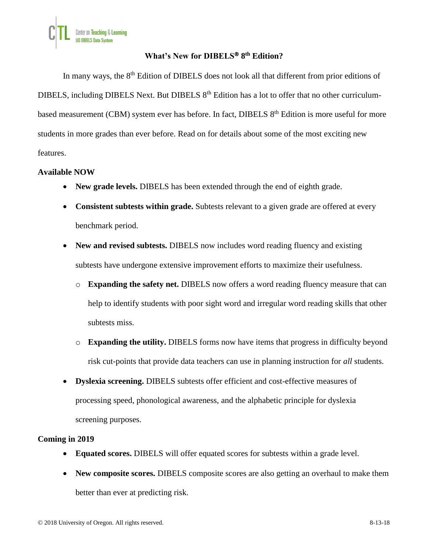# **What's New for DIBELS 8 th Edition?**

In many ways, the 8<sup>th</sup> Edition of DIBELS does not look all that different from prior editions of DIBELS, including DIBELS Next. But DIBELS 8<sup>th</sup> Edition has a lot to offer that no other curriculumbased measurement (CBM) system ever has before. In fact, DIBELS 8<sup>th</sup> Edition is more useful for more students in more grades than ever before. Read on for details about some of the most exciting new features.

## **Available NOW**

- **New grade levels.** DIBELS has been extended through the end of eighth grade.
- **Consistent subtests within grade.** Subtests relevant to a given grade are offered at every benchmark period.
- **New and revised subtests.** DIBELS now includes word reading fluency and existing subtests have undergone extensive improvement efforts to maximize their usefulness.
	- o **Expanding the safety net.** DIBELS now offers a word reading fluency measure that can help to identify students with poor sight word and irregular word reading skills that other subtests miss.
	- o **Expanding the utility.** DIBELS forms now have items that progress in difficulty beyond risk cut-points that provide data teachers can use in planning instruction for *all* students.
- **Dyslexia screening.** DIBELS subtests offer efficient and cost-effective measures of processing speed, phonological awareness, and the alphabetic principle for dyslexia screening purposes.

## **Coming in 2019**

- **Equated scores.** DIBELS will offer equated scores for subtests within a grade level.
- **New composite scores.** DIBELS composite scores are also getting an overhaul to make them better than ever at predicting risk.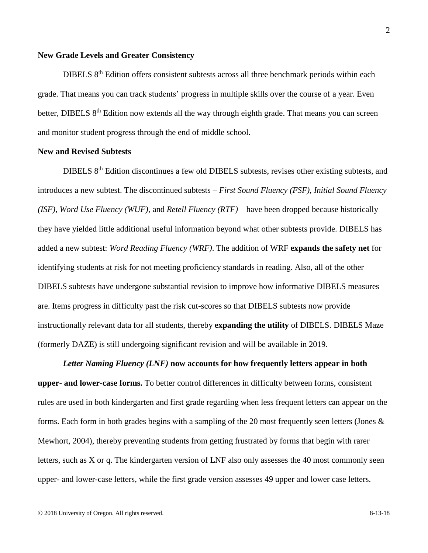## **New Grade Levels and Greater Consistency**

DIBELS 8<sup>th</sup> Edition offers consistent subtests across all three benchmark periods within each grade. That means you can track students' progress in multiple skills over the course of a year. Even better, DIBELS 8<sup>th</sup> Edition now extends all the way through eighth grade. That means you can screen and monitor student progress through the end of middle school.

#### **New and Revised Subtests**

DIBELS 8<sup>th</sup> Edition discontinues a few old DIBELS subtests, revises other existing subtests, and introduces a new subtest. The discontinued subtests – *First Sound Fluency (FSF)*, *Initial Sound Fluency (ISF)*, *Word Use Fluency (WUF)*, and *Retell Fluency (RTF)* – have been dropped because historically they have yielded little additional useful information beyond what other subtests provide. DIBELS has added a new subtest: *Word Reading Fluency (WRF)*. The addition of WRF **expands the safety net** for identifying students at risk for not meeting proficiency standards in reading. Also, all of the other DIBELS subtests have undergone substantial revision to improve how informative DIBELS measures are. Items progress in difficulty past the risk cut-scores so that DIBELS subtests now provide instructionally relevant data for all students, thereby **expanding the utility** of DIBELS. DIBELS Maze (formerly DAZE) is still undergoing significant revision and will be available in 2019.

*Letter Naming Fluency (LNF)* **now accounts for how frequently letters appear in both upper- and lower-case forms.** To better control differences in difficulty between forms, consistent rules are used in both kindergarten and first grade regarding when less frequent letters can appear on the forms. Each form in both grades begins with a sampling of the 20 most frequently seen letters (Jones & Mewhort, 2004), thereby preventing students from getting frustrated by forms that begin with rarer letters, such as X or q. The kindergarten version of LNF also only assesses the 40 most commonly seen upper- and lower-case letters, while the first grade version assesses 49 upper and lower case letters.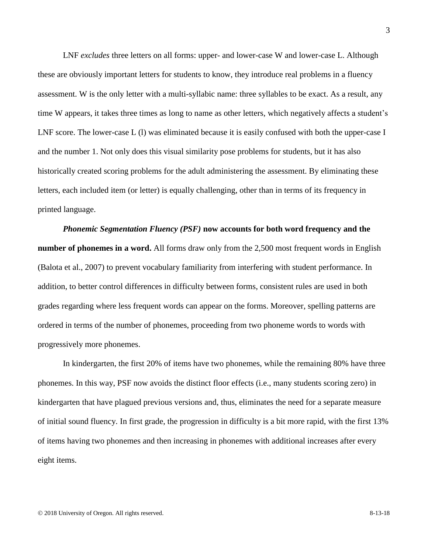LNF *excludes* three letters on all forms: upper- and lower-case W and lower-case L. Although these are obviously important letters for students to know, they introduce real problems in a fluency assessment. W is the only letter with a multi-syllabic name: three syllables to be exact. As a result, any time W appears, it takes three times as long to name as other letters, which negatively affects a student's LNF score. The lower-case L (1) was eliminated because it is easily confused with both the upper-case I and the number 1. Not only does this visual similarity pose problems for students, but it has also historically created scoring problems for the adult administering the assessment. By eliminating these letters, each included item (or letter) is equally challenging, other than in terms of its frequency in printed language.

*Phonemic Segmentation Fluency (PSF)* **now accounts for both word frequency and the number of phonemes in a word.** All forms draw only from the 2,500 most frequent words in English (Balota et al., 2007) to prevent vocabulary familiarity from interfering with student performance. In addition, to better control differences in difficulty between forms, consistent rules are used in both grades regarding where less frequent words can appear on the forms. Moreover, spelling patterns are ordered in terms of the number of phonemes, proceeding from two phoneme words to words with progressively more phonemes.

In kindergarten, the first 20% of items have two phonemes, while the remaining 80% have three phonemes. In this way, PSF now avoids the distinct floor effects (i.e., many students scoring zero) in kindergarten that have plagued previous versions and, thus, eliminates the need for a separate measure of initial sound fluency. In first grade, the progression in difficulty is a bit more rapid, with the first 13% of items having two phonemes and then increasing in phonemes with additional increases after every eight items.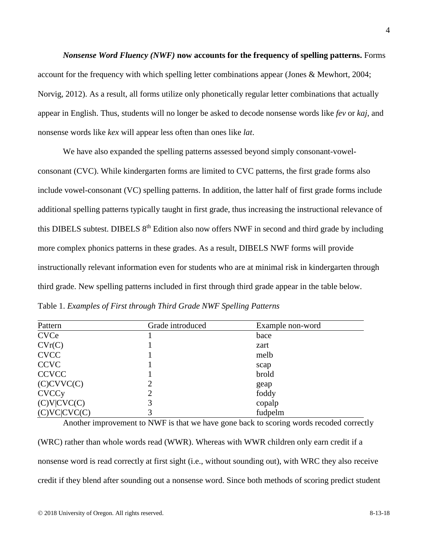*Nonsense Word Fluency (NWF)* **now accounts for the frequency of spelling patterns.** Forms account for the frequency with which spelling letter combinations appear (Jones & Mewhort, 2004; Norvig, 2012). As a result, all forms utilize only phonetically regular letter combinations that actually appear in English. Thus, students will no longer be asked to decode nonsense words like *fev* or *kaj*, and nonsense words like *kex* will appear less often than ones like *lat*.

We have also expanded the spelling patterns assessed beyond simply consonant-vowelconsonant (CVC). While kindergarten forms are limited to CVC patterns, the first grade forms also include vowel-consonant (VC) spelling patterns. In addition, the latter half of first grade forms include additional spelling patterns typically taught in first grade, thus increasing the instructional relevance of this DIBELS subtest. DIBELS 8<sup>th</sup> Edition also now offers NWF in second and third grade by including more complex phonics patterns in these grades. As a result, DIBELS NWF forms will provide instructionally relevant information even for students who are at minimal risk in kindergarten through third grade. New spelling patterns included in first through third grade appear in the table below. Table 1. *Examples of First through Third Grade NWF Spelling Patterns*

| Pattern                 | Grade introduced | Example non-word |
|-------------------------|------------------|------------------|
| <b>CVCe</b>             |                  | bace             |
| CVr(C)                  |                  | zart             |
| <b>CVCC</b>             |                  | melb             |
| <b>CCVC</b>             |                  | scap             |
| <b>CCVCC</b>            |                  | brold            |
| (C)CVVC(C)              |                  | geap             |
| <b>CVCC<sub>y</sub></b> |                  | foddy            |
| (C)V(CVC(C)             |                  | copalp           |
| (C)VC(CVC(C)            |                  | fudpelm          |

Another improvement to NWF is that we have gone back to scoring words recoded correctly (WRC) rather than whole words read (WWR). Whereas with WWR children only earn credit if a nonsense word is read correctly at first sight (i.e., without sounding out), with WRC they also receive credit if they blend after sounding out a nonsense word. Since both methods of scoring predict student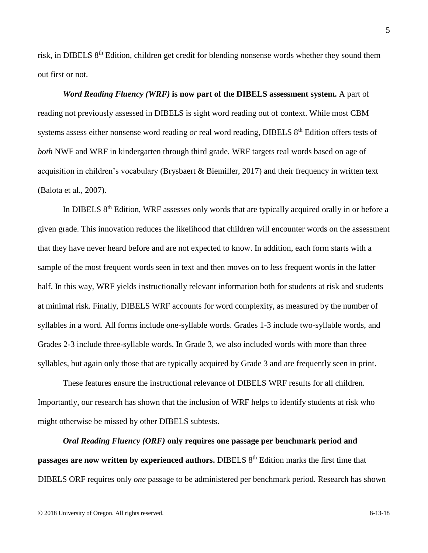risk, in DIBELS 8<sup>th</sup> Edition, children get credit for blending nonsense words whether they sound them out first or not.

*Word Reading Fluency (WRF)* **is now part of the DIBELS assessment system.** A part of reading not previously assessed in DIBELS is sight word reading out of context. While most CBM systems assess either nonsense word reading *or* real word reading, DIBELS 8<sup>th</sup> Edition offers tests of *both* NWF and WRF in kindergarten through third grade. WRF targets real words based on age of acquisition in children's vocabulary (Brysbaert & Biemiller, 2017) and their frequency in written text (Balota et al., 2007).

In DIBELS 8<sup>th</sup> Edition, WRF assesses only words that are typically acquired orally in or before a given grade. This innovation reduces the likelihood that children will encounter words on the assessment that they have never heard before and are not expected to know. In addition, each form starts with a sample of the most frequent words seen in text and then moves on to less frequent words in the latter half. In this way, WRF yields instructionally relevant information both for students at risk and students at minimal risk. Finally, DIBELS WRF accounts for word complexity, as measured by the number of syllables in a word. All forms include one-syllable words. Grades 1-3 include two-syllable words, and Grades 2-3 include three-syllable words. In Grade 3, we also included words with more than three syllables, but again only those that are typically acquired by Grade 3 and are frequently seen in print.

These features ensure the instructional relevance of DIBELS WRF results for all children. Importantly, our research has shown that the inclusion of WRF helps to identify students at risk who might otherwise be missed by other DIBELS subtests.

*Oral Reading Fluency (ORF)* **only requires one passage per benchmark period and passages are now written by experienced authors.** DIBELS 8<sup>th</sup> Edition marks the first time that DIBELS ORF requires only *one* passage to be administered per benchmark period. Research has shown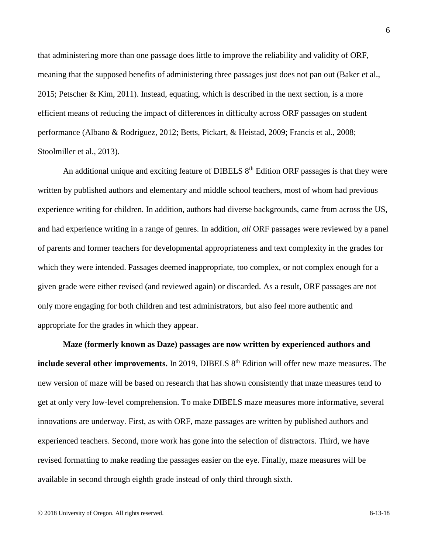that administering more than one passage does little to improve the reliability and validity of ORF, meaning that the supposed benefits of administering three passages just does not pan out (Baker et al., 2015; Petscher & Kim, 2011). Instead, equating, which is described in the next section, is a more efficient means of reducing the impact of differences in difficulty across ORF passages on student performance (Albano & Rodriguez, 2012; Betts, Pickart, & Heistad, 2009; Francis et al., 2008; Stoolmiller et al., 2013).

An additional unique and exciting feature of DIBELS  $8<sup>th</sup>$  Edition ORF passages is that they were written by published authors and elementary and middle school teachers, most of whom had previous experience writing for children. In addition, authors had diverse backgrounds, came from across the US, and had experience writing in a range of genres. In addition, *all* ORF passages were reviewed by a panel of parents and former teachers for developmental appropriateness and text complexity in the grades for which they were intended. Passages deemed inappropriate, too complex, or not complex enough for a given grade were either revised (and reviewed again) or discarded. As a result, ORF passages are not only more engaging for both children and test administrators, but also feel more authentic and appropriate for the grades in which they appear.

**Maze (formerly known as Daze) passages are now written by experienced authors and include several other improvements.** In 2019, DIBELS 8<sup>th</sup> Edition will offer new maze measures. The new version of maze will be based on research that has shown consistently that maze measures tend to get at only very low-level comprehension. To make DIBELS maze measures more informative, several innovations are underway. First, as with ORF, maze passages are written by published authors and experienced teachers. Second, more work has gone into the selection of distractors. Third, we have revised formatting to make reading the passages easier on the eye. Finally, maze measures will be available in second through eighth grade instead of only third through sixth.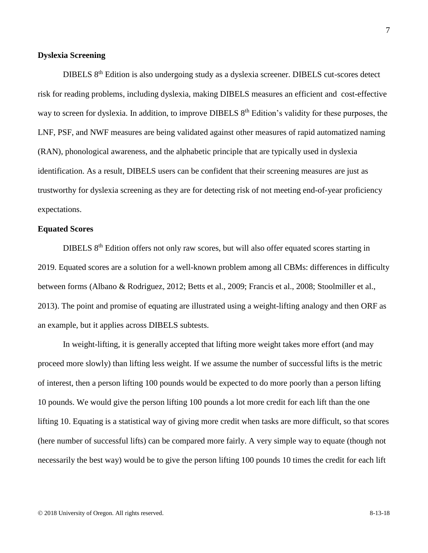## **Dyslexia Screening**

DIBELS 8<sup>th</sup> Edition is also undergoing study as a dyslexia screener. DIBELS cut-scores detect risk for reading problems, including dyslexia, making DIBELS measures an efficient and cost-effective way to screen for dyslexia. In addition, to improve DIBELS 8<sup>th</sup> Edition's validity for these purposes, the LNF, PSF, and NWF measures are being validated against other measures of rapid automatized naming (RAN), phonological awareness, and the alphabetic principle that are typically used in dyslexia identification. As a result, DIBELS users can be confident that their screening measures are just as trustworthy for dyslexia screening as they are for detecting risk of not meeting end-of-year proficiency expectations.

## **Equated Scores**

DIBELS 8<sup>th</sup> Edition offers not only raw scores, but will also offer equated scores starting in 2019. Equated scores are a solution for a well-known problem among all CBMs: differences in difficulty between forms (Albano & Rodriguez, 2012; Betts et al., 2009; Francis et al., 2008; Stoolmiller et al., 2013). The point and promise of equating are illustrated using a weight-lifting analogy and then ORF as an example, but it applies across DIBELS subtests.

In weight-lifting, it is generally accepted that lifting more weight takes more effort (and may proceed more slowly) than lifting less weight. If we assume the number of successful lifts is the metric of interest, then a person lifting 100 pounds would be expected to do more poorly than a person lifting 10 pounds. We would give the person lifting 100 pounds a lot more credit for each lift than the one lifting 10. Equating is a statistical way of giving more credit when tasks are more difficult, so that scores (here number of successful lifts) can be compared more fairly. A very simple way to equate (though not necessarily the best way) would be to give the person lifting 100 pounds 10 times the credit for each lift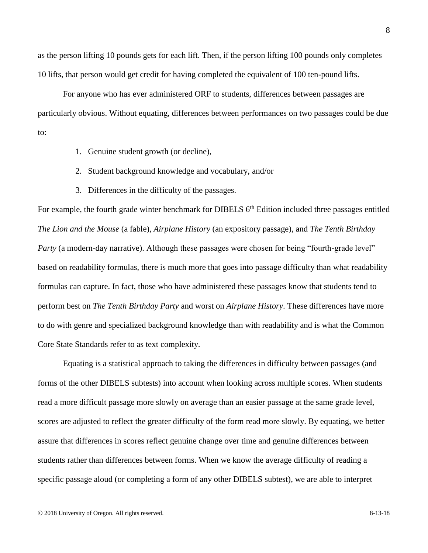as the person lifting 10 pounds gets for each lift. Then, if the person lifting 100 pounds only completes 10 lifts, that person would get credit for having completed the equivalent of 100 ten-pound lifts.

For anyone who has ever administered ORF to students, differences between passages are particularly obvious. Without equating, differences between performances on two passages could be due to:

- 1. Genuine student growth (or decline),
- 2. Student background knowledge and vocabulary, and/or
- 3. Differences in the difficulty of the passages.

For example, the fourth grade winter benchmark for DIBELS 6<sup>th</sup> Edition included three passages entitled *The Lion and the Mouse* (a fable), *Airplane History* (an expository passage), and *The Tenth Birthday Party* (a modern-day narrative). Although these passages were chosen for being "fourth-grade level" based on readability formulas, there is much more that goes into passage difficulty than what readability formulas can capture. In fact, those who have administered these passages know that students tend to perform best on *The Tenth Birthday Party* and worst on *Airplane History*. These differences have more to do with genre and specialized background knowledge than with readability and is what the Common Core State Standards refer to as text complexity.

Equating is a statistical approach to taking the differences in difficulty between passages (and forms of the other DIBELS subtests) into account when looking across multiple scores. When students read a more difficult passage more slowly on average than an easier passage at the same grade level, scores are adjusted to reflect the greater difficulty of the form read more slowly. By equating, we better assure that differences in scores reflect genuine change over time and genuine differences between students rather than differences between forms. When we know the average difficulty of reading a specific passage aloud (or completing a form of any other DIBELS subtest), we are able to interpret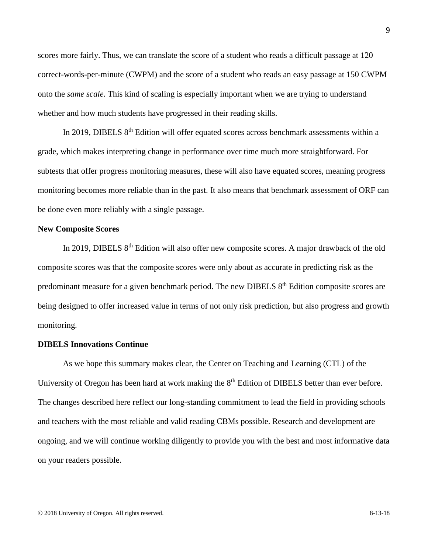scores more fairly. Thus, we can translate the score of a student who reads a difficult passage at 120 correct-words-per-minute (CWPM) and the score of a student who reads an easy passage at 150 CWPM onto the *same scale*. This kind of scaling is especially important when we are trying to understand whether and how much students have progressed in their reading skills.

In 2019, DIBELS 8<sup>th</sup> Edition will offer equated scores across benchmark assessments within a grade, which makes interpreting change in performance over time much more straightforward. For subtests that offer progress monitoring measures, these will also have equated scores, meaning progress monitoring becomes more reliable than in the past. It also means that benchmark assessment of ORF can be done even more reliably with a single passage.

## **New Composite Scores**

In 2019, DIBELS 8<sup>th</sup> Edition will also offer new composite scores. A major drawback of the old composite scores was that the composite scores were only about as accurate in predicting risk as the predominant measure for a given benchmark period. The new DIBELS 8<sup>th</sup> Edition composite scores are being designed to offer increased value in terms of not only risk prediction, but also progress and growth monitoring.

#### **DIBELS Innovations Continue**

As we hope this summary makes clear, the Center on Teaching and Learning (CTL) of the University of Oregon has been hard at work making the  $8<sup>th</sup>$  Edition of DIBELS better than ever before. The changes described here reflect our long-standing commitment to lead the field in providing schools and teachers with the most reliable and valid reading CBMs possible. Research and development are ongoing, and we will continue working diligently to provide you with the best and most informative data on your readers possible.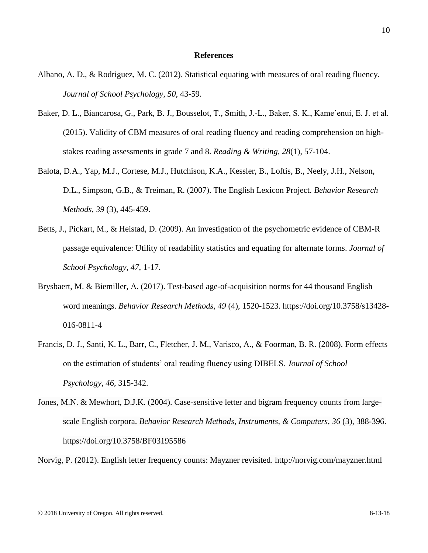#### **References**

- Albano, A. D., & Rodriguez, M. C. (2012). Statistical equating with measures of oral reading fluency. *Journal of School Psychology, 50*, 43-59.
- Baker, D. L., Biancarosa, G., Park, B. J., Bousselot, T., Smith, J.-L., Baker, S. K., Kame'enui, E. J. et al. (2015). Validity of CBM measures of oral reading fluency and reading comprehension on highstakes reading assessments in grade 7 and 8. *Reading & Writing, 28*(1), 57-104.
- Balota, D.A., Yap, M.J., Cortese, M.J., Hutchison, K.A., Kessler, B., Loftis, B., Neely, J.H., Nelson, D.L., Simpson, G.B., & Treiman, R. (2007). The English Lexicon Project. *Behavior Research Methods*, *39* (3), 445-459.
- Betts, J., Pickart, M., & Heistad, D. (2009). An investigation of the psychometric evidence of CBM-R passage equivalence: Utility of readability statistics and equating for alternate forms. *Journal of School Psychology, 47*, 1-17.
- Brysbaert, M. & Biemiller, A. (2017). Test-based age-of-acquisition norms for 44 thousand English word meanings. *Behavior Research Methods, 49* (4), 1520-1523. https://doi.org/10.3758/s13428- 016-0811-4
- Francis, D. J., Santi, K. L., Barr, C., Fletcher, J. M., Varisco, A., & Foorman, B. R. (2008). Form effects on the estimation of students' oral reading fluency using DIBELS. *Journal of School Psychology, 46*, 315-342.
- Jones, M.N. & Mewhort, D.J.K. (2004). Case-sensitive letter and bigram frequency counts from largescale English corpora. *Behavior Research Methods, Instruments, & Computers*, *36* (3), 388-396. https://doi.org/10.3758/BF03195586

Norvig, P. (2012). English letter frequency counts: Mayzner revisited. http://norvig.com/mayzner.html